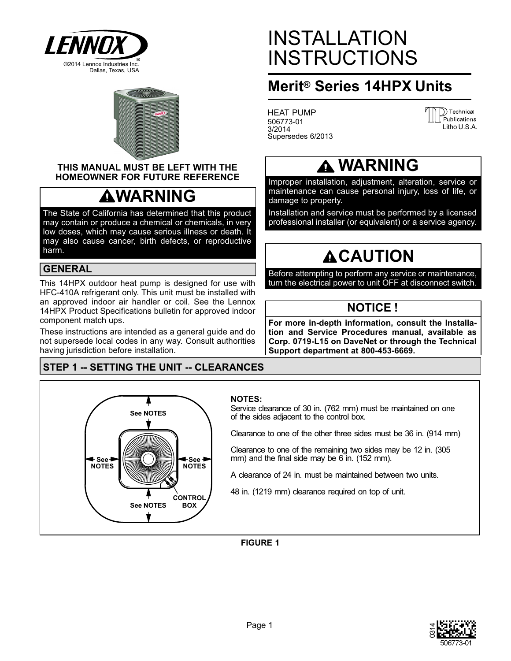



### **THIS MANUAL MUST BE LEFT WITH THE HOMEOWNER FOR FUTURE REFERENCE**

# **WARNING**

The State of California has determined that this product may contain or produce a chemical or chemicals, in very low doses, which may cause serious illness or death. It may also cause cancer, birth defects, or reproductive harm.

### **GENERAL**

This 14HPX outdoor heat pump is designed for use with HFC-410A refrigerant only. This unit must be installed with an approved indoor air handler or coil. See the Lennox 14HPX Product Specifications bulletin for approved indoor component match ups.

These instructions are intended as a general guide and do not supersede local codes in any way. Consult authorities having jurisdiction before installation.

## **STEP 1 -- SETTING THE UNIT -- CLEARANCES**



# INSTALLATION INSTRUCTIONS

## **Merit® Series 14HPX Units**

HEAT PUMP 506773-01 3/2014 Supersedes 6/2013

| <b>III</b> Publications |
|-------------------------|
|                         |
| Litho U.S.A.            |

## **WARNING**

Improper installation, adjustment, alteration, service or maintenance can cause personal injury, loss of life, or damage to property.

Installation and service must be performed by a licensed professional installer (or equivalent) or a service agency.

# **ACAUTION**

Before attempting to perform any service or maintenance, turn the electrical power to unit OFF at disconnect switch.

## **NOTICE !**

**For more in-depth information, consult the Installation and Service Procedures manual, available as Corp. 0719-L15 on DaveNet or through the Technical Support department at 800-453-6669.**

### **NOTES:**

Service clearance of 30 in. (762 mm) must be maintained on one of the sides adjacent to the control box.

Clearance to one of the other three sides must be 36 in. (914 mm)

Clearance to one of the remaining two sides may be 12 in. (305 mm) and the final side may be 6 in. (152 mm).

A clearance of 24 in. must be maintained between two units.

48 in. (1219 mm) clearance required on top of unit.

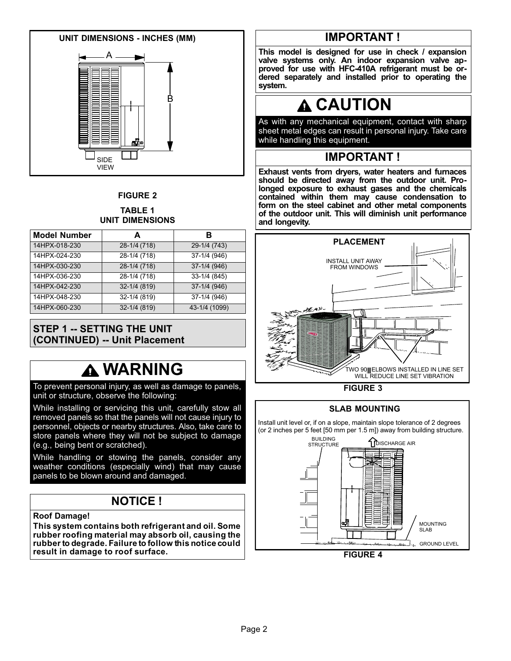

## **FIGURE 2**

#### **TABLE 1 UNIT DIMENSIONS**

| <b>Model Number</b> | A                | в             |
|---------------------|------------------|---------------|
| 14HPX-018-230       | 28-1/4 (718)     | 29-1/4 (743)  |
| 14HPX-024-230       | 28-1/4 (718)     | 37-1/4 (946)  |
| 14HPX-030-230       | 28-1/4 (718)     | 37-1/4 (946)  |
| 14HPX-036-230       | 28-1/4 (718)     | 33-1/4 (845)  |
| 14HPX-042-230       | $32 - 1/4$ (819) | 37-1/4 (946)  |
| 14HPX-048-230       | 32-1/4 (819)     | 37-1/4 (946)  |
| 14HPX-060-230       | 32-1/4 (819)     | 43-1/4 (1099) |

## **STEP 1 -- SETTING THE UNIT (CONTINUED) -- Unit Placement**

# **WARNING**

To prevent personal injury, as well as damage to panels, unit or structure, observe the following:

While installing or servicing this unit, carefully stow all removed panels so that the panels will not cause injury to personnel, objects or nearby structures. Also, take care to store panels where they will not be subject to damage (e.g., being bent or scratched).

While handling or stowing the panels, consider any weather conditions (especially wind) that may cause panels to be blown around and damaged.

## **NOTICE !**

**Roof Damage!**

**This system contains both refrigerant and oil. Some rubber roofing material may absorb oil, causing the rubber to degrade. Failure to follow this notice could result in damage to roof surface.**

## **IMPORTANT !**

**This model is designed for use in check / expansion valve systems only. An indoor expansion valve approved for use with HFC-410A refrigerant must be ordered separately and installed prior to operating the system.**

# **CAUTION**

As with any mechanical equipment, contact with sharp sheet metal edges can result in personal injury. Take care while handling this equipment.

## **IMPORTANT !**

**Exhaust vents from dryers, water heaters and furnaces should be directed away from the outdoor unit. Prolonged exposure to exhaust gases and the chemicals contained within them may cause condensation to form on the steel cabinet and other metal components of the outdoor unit. This will diminish unit performance and longevity.**





### **SLAB MOUNTING**

Install unit level or, if on a slope, maintain slope tolerance of 2 degrees (or 2 inches per 5 feet [50 mm per 1.5 m]) away from building structure.



**FIGURE 4**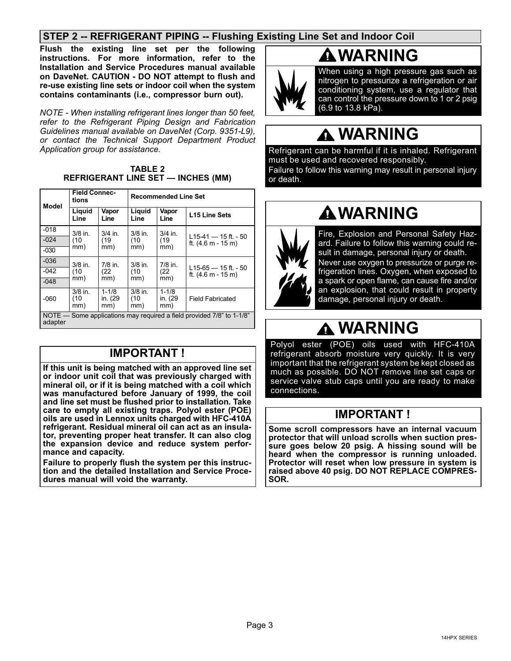## **STEP 2 -- REFRIGERANT PIPING -- Flushing Existing Line Set and Indoor Coil**

**Flush the existing line set per the following instructions. For more information, refer to the Installation and Service Procedures manual available on DaveNet. CAUTION - DO NOT attempt to flush and re-use existing line sets or indoor coil when the system contains contaminants (i.e., compressor burn out).**

*NOTE - When installing refrigerant lines longer than 50 feet, refer to the Refrigerant Piping Design and Fabrication Guidelines manual available on DaveNet (Corp. 9351-L9), or contact the Technical Support Department Product Application group for assistance.*

| <b>TABLE 2</b>                            |  |
|-------------------------------------------|--|
| <b>REFRIGERANT LINE SET - INCHES (MM)</b> |  |

| Model                                                                            | <b>Field Connec-</b><br>tions |                             | <b>Recommended Line Set</b> |                             |                                                           |  |  |  |
|----------------------------------------------------------------------------------|-------------------------------|-----------------------------|-----------------------------|-----------------------------|-----------------------------------------------------------|--|--|--|
|                                                                                  | Liquid<br>Line                | Vapor<br>Line               | Liquid<br>Line              | Vapor<br>Line               | L15 Line Sets                                             |  |  |  |
| $-018$                                                                           | $3/8$ in.                     | $3/4$ in.                   | $3/8$ in.                   | $3/4$ in.                   |                                                           |  |  |  |
| $-024$                                                                           | (10)                          | (19<br>(10                  |                             | (19)                        | L <sub>15</sub> -41 – 15 ft. - 50<br>ft. $(4.6 m - 15 m)$ |  |  |  |
| $-030$                                                                           | mm)                           | mm)                         | mm)                         | mm)                         |                                                           |  |  |  |
| $-036$                                                                           | $3/8$ in.                     | 7/8 in.                     | $3/8$ in.                   | $7/8$ in.                   |                                                           |  |  |  |
| $-042$                                                                           | (10)                          | (22)                        | (10                         | (22)                        | L15-65 $-$ 15 ft. - 50<br>ft. $(4.6 m - 15 m)$            |  |  |  |
| $-048$                                                                           | mm)                           | mm)                         | mm)                         | mm)                         |                                                           |  |  |  |
| $-060$                                                                           | $3/8$ in.<br>(10)<br>mm)      | $1 - 1/8$<br>in. (29<br>mm) | $3/8$ in.<br>(10)<br>mm)    | $1 - 1/8$<br>in. (29<br>mm) | <b>Field Fabricated</b>                                   |  |  |  |
| NOTE — Some applications may required a field provided 7/8" to 1-1/8"<br>adapter |                               |                             |                             |                             |                                                           |  |  |  |

## **IMPORTANT !**

**If this unit is being matched with an approved line set or indoor unit coil that was previously charged with mineral oil, or if it is being matched with a coil which was manufactured before January of 1999, the coil and line set must be flushed prior to installation. Take care to empty all existing traps. Polyol ester (POE) oils are used in Lennox units charged with HFC-410A refrigerant. Residual mineral oil can act as an insulator, preventing proper heat transfer. It can also clog the expansion device and reduce system performance and capacity.**

**Failure to properly flush the system per this instruction and the detailed Installation and Service Procedures manual will void the warranty.**

# **WARNING**



When using a high pressure gas such as nitrogen to pressurize a refrigeration or air conditioning system, use a regulator that can control the pressure down to 1 or 2 psig (6.9 to 13.8 kPa).

# **WARNING**

Refrigerant can be harmful if it is inhaled. Refrigerant must be used and recovered responsibly. Failure to follow this warning may result in personal injury or death.

## **WARNING**



Fire, Explosion and Personal Safety Hazard. Failure to follow this warning could result in damage, personal injury or death. Never use oxygen to pressurize or purge refrigeration lines. Oxygen, when exposed to a spark or open flame, can cause fire and/or an explosion, that could result in property damage, personal injury or death.

# **WARNING**

Polyol ester (POE) oils used with HFC-410A refrigerant absorb moisture very quickly. It is very important that the refrigerant system be kept closed as much as possible. DO NOT remove line set caps or service valve stub caps until you are ready to make connections.

## **IMPORTANT !**

**Some scroll compressors have an internal vacuum protector that will unload scrolls when suction pressure goes below 20 psig. A hissing sound will be heard when the compressor is running unloaded. Protector will reset when low pressure in system is raised above 40 psig. DO NOT REPLACE COMPRES-SOR.**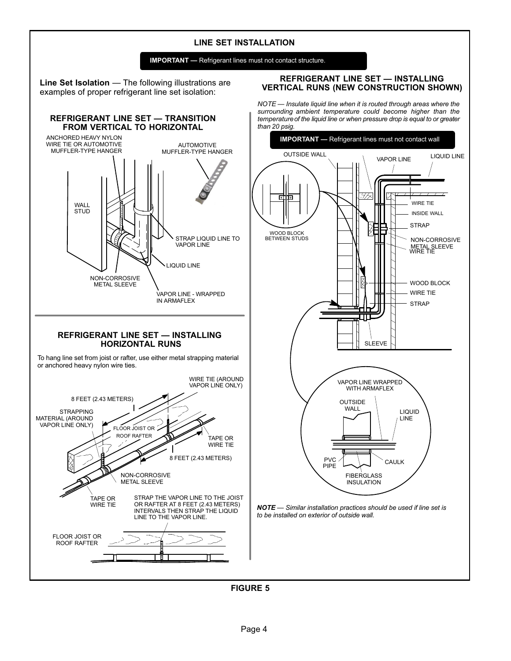### **LINE SET INSTALLATION**



**Line Set Isolation** — The following illustrations are examples of proper refrigerant line set isolation:

**REFRIGERANT LINE SET — TRANSITION**

#### **REFRIGERANT LINE SET — INSTALLING VERTICAL RUNS (NEW CONSTRUCTION SHOWN)**

*NOTE — Insulate liquid line when it is routed through areas where the surrounding ambient temperature could become higher than the temperature of the liquid line or when pressure drop is equal to or greater than 20 psig.*

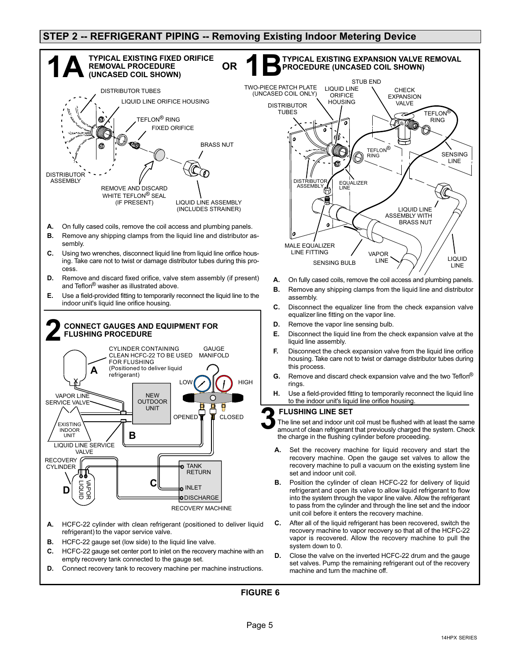### **STEP 2 -- REFRIGERANT PIPING -- Removing Existing Indoor Metering Device**



- **C.** HCFC-22 gauge set center port to inlet on the recovery machine with an empty recovery tank connected to the gauge set.
- **D.** Connect recovery tank to recovery machine per machine instructions.



- **A.** On fully cased coils, remove the coil access and plumbing panels.
- **B.** Remove any shipping clamps from the liquid line and distributor assembly.
- **C.** Disconnect the equalizer line from the check expansion valve equalizer line fitting on the vapor line.
- **D.** Remove the vapor line sensing bulb.
- **E.** Disconnect the liquid line from the check expansion valve at the liquid line assembly.
- **F.** Disconnect the check expansion valve from the liquid line orifice housing. Take care not to twist or damage distributor tubes during this process.
- **G.** Remove and discard check expansion valve and the two Teflon® rings.
- **H.** Use a field-provided fitting to temporarily reconnect the liquid line to the indoor unit's liquid line orifice housing.

#### **FLUSHING LINE SET**

The line set and indoor unit coil must be flushed with at least the same amount of clean refrigerant that previously charged the system. Check the charge in the flushing cylinder before proceeding.

- recovery macrime to put<br>set and indoor unit coil. **A.** Set the recovery machine for liquid recovery and start the recovery machine. Open the gauge set valves to allow the recovery machine to pull a vacuum on the existing system line
- **B.** Position the cylinder of clean HCFC-22 for delivery of liquid refrigerant and open its valve to allow liquid refrigerant to flow into the system through the vapor line valve. Allow the refrigerant to pass from the cylinder and through the line set and the indoor unit coil before it enters the recovery machine.
- **C.** After all of the liquid refrigerant has been recovered, switch the recovery machine to vapor recovery so that all of the HCFC-22 vapor is recovered. Allow the recovery machine to pull the system down to 0.
- **D.** Close the valve on the inverted HCFC-22 drum and the gauge set valves. Pump the remaining refrigerant out of the recovery machine and turn the machine off.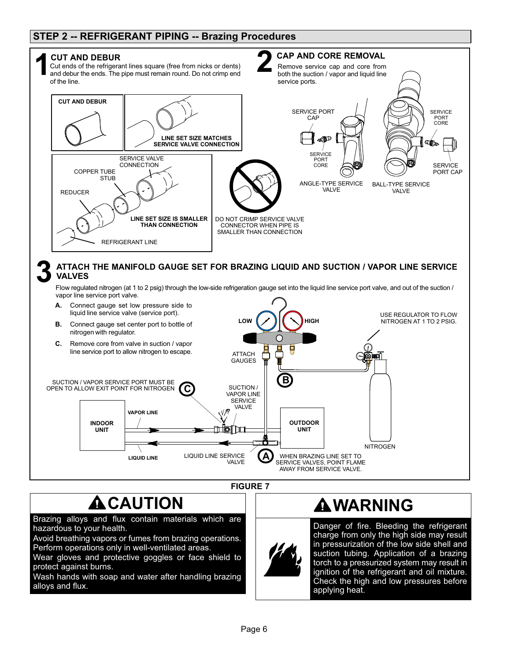## **STEP 2 -- REFRIGERANT PIPING -- Brazing Procedures**



# $\triangle$  CAUTION

Brazing alloys and flux contain materials which are hazardous to your health.

Avoid breathing vapors or fumes from brazing operations. Perform operations only in well-ventilated areas.

Wear gloves and protective goggles or face shield to protect against burns.

Wash hands with soap and water after handling brazing alloys and flux.

## **WARNING**

Danger of fire. Bleeding the refrigerant charge from only the high side may result in pressurization of the low side shell and suction tubing. Application of a brazing torch to a pressurized system may result in ignition of the refrigerant and oil mixture. Check the high and low pressures before applying heat.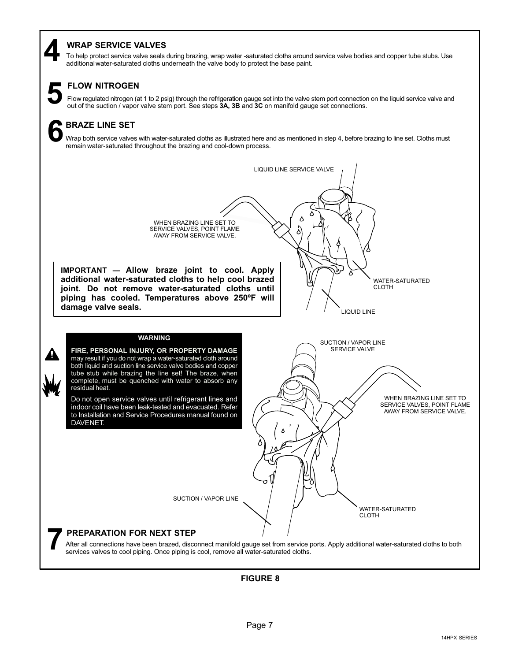### **WRAP SERVICE VALVES**

To help protect service valve seals during brazing, wrap water -saturated cloths around service valve bodies and copper tube stubs. Use **4** additional water-saturated cloths underneath the valve body to protect the base paint.



### **FLOW NITROGEN**

Flow regulated nitrogen (at 1 to 2 psig) through the refrigeration gauge set into the valve stem port connection on the liquid service valve and out of the suction / vapor valve stem port. See steps 3A, 3B and 3C on manifo

## **BRAZE LINE SET 6**

Wrap both service valves with water-saturated cloths as illustrated here and as mentioned in step 4, before brazing to line set. Cloths must remain water-saturated throughout the brazing and cool-down process.

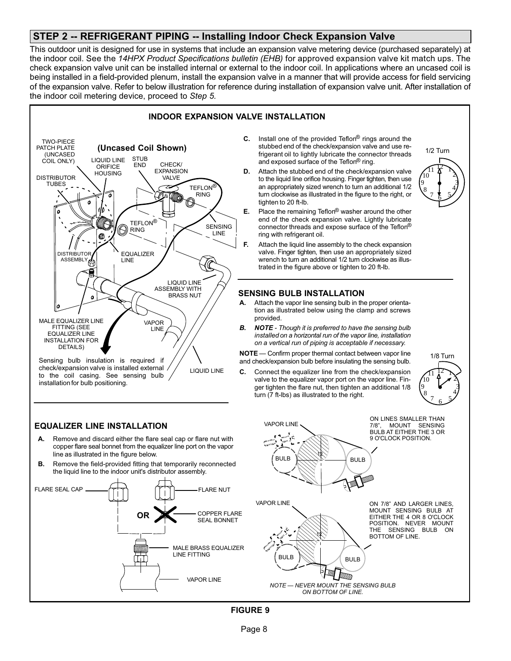### **STEP 2 -- REFRIGERANT PIPING -- Installing Indoor Check Expansion Valve**

This outdoor unit is designed for use in systems that include an expansion valve metering device (purchased separately) at the indoor coil. See the *14HPX Product Specifications bulletin (EHB)* for approved expansion valve kit match ups. The check expansion valve unit can be installed internal or external to the indoor coil. In applications where an uncased coil is being installed in a field-provided plenum, install the expansion valve in a manner that will provide access for field servicing of the expansion valve. Refer to below illustration for reference during installation of expansion valve unit. After installation of the indoor coil metering device, proceed to *Step 5.*





LIQUID LINE check/expansion valve is installed external to the coil casing. See sensing bulb installation for bulb positioning.

### **EQUALIZER LINE INSTALLATION**

- **A.** Remove and discard either the flare seal cap or flare nut with copper flare seal bonnet from the equalizer line port on the vapor line as illustrated in the figure below.
- **B.** Remove the field-provided fitting that temporarily reconnected the liquid line to the indoor unit's distributor assembly.



- **C.** Install one of the provided Teflon® rings around the stubbed end of the check/expansion valve and use refrigerant oil to lightly lubricate the connector threads and exposed surface of the Teflon® ring.
- **D.** Attach the stubbed end of the check/expansion valve to the liquid line orifice housing. Finger tighten, then use an appropriately sized wrench to turn an additional 1/2 turn clockwise as illustrated in the figure to the right, or tighten to 20 ft-lb.
- **E.** Place the remaining Teflon® washer around the other end of the check expansion valve. Lightly lubricate connector threads and expose surface of the Teflon® ring with refrigerant oil.
- **F.** Attach the liquid line assembly to the check expansion valve. Finger tighten, then use an appropriately sized wrench to turn an additional 1/2 turn clockwise as illustrated in the figure above or tighten to 20 ft-lb.

### **SENSING BULB INSTALLATION**

- **A.** Attach the vapor line sensing bulb in the proper orientation as illustrated below using the clamp and screws provided.
- *B. NOTE Though it is preferred to have the sensing bulb installed on a horizontal run of the vapor line, installation on a vertical run of piping is acceptable if necessary.*

**NOTE** — Confirm proper thermal contact between vapor line and check/expansion bulb before insulating the sensing bulb.

Connect the equalizer line from the check/expansion valve to the equalizer vapor port on the vapor line. Finger tighten the flare nut, then tighten an additional 1/8 turn (7 ft-lbs) as illustrated to the right.



*NOTE — NEVER MOUNT THE SENSING BULB ON BOTTOM OF LINE.*

Page 8

**FIGURE 9**





<u>ነ</u>  $\mathbf{c}$ 3 4 <u>7 E 5</u>

1/2 Turn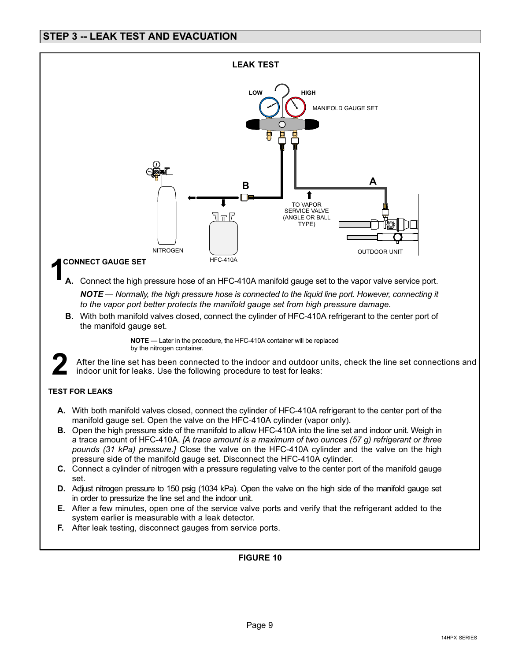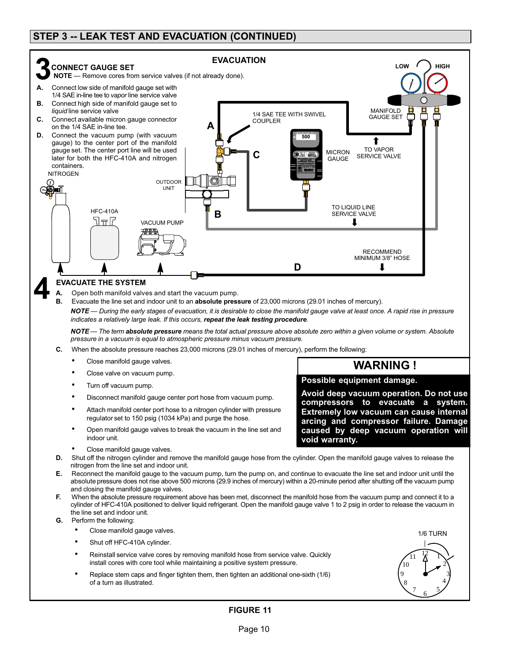## **STEP 3 -- LEAK TEST AND EVACUATION (CONTINUED)**



*NOTE — During the early stages of evacuation, it is desirable to close the manifold gauge valve at least once. A rapid rise in pressure indicates a relatively large leak. If this occurs, repeat the leak testing procedure.*

*NOTE — The term absolute pressure means the total actual pressure above absolute zero within a given volume or system. Absolute pressure in a vacuum is equal to atmospheric pressure minus vacuum pressure.*

- **C.** When the absolute pressure reaches 23,000 microns (29.01 inches of mercury), perform the following:
	- Close manifold gauge valves.
	- Close valve on vacuum pump.
	- Turn off vacuum pump.
	- Disconnect manifold gauge center port hose from vacuum pump.
	- Attach manifold center port hose to a nitrogen cylinder with pressure regulator set to 150 psig (1034 kPa) and purge the hose.
	- Open manifold gauge valves to break the vacuum in the line set and indoor unit.
	- Close manifold gauge valves.
- **D.** Shut off the nitrogen cylinder and remove the manifold gauge hose from the cylinder. Open the manifold gauge valves to release the nitrogen from the line set and indoor unit.
- **E.** Reconnect the manifold gauge to the vacuum pump, turn the pump on, and continue to evacuate the line set and indoor unit until the absolute pressure does not rise above 500 microns (29.9 inches of mercury) within a 20-minute period after shutting off the vacuum pump and closing the manifold gauge valves.
- When the absolute pressure requirement above has been met, disconnect the manifold hose from the vacuum pump and connect it to a cylinder of HFC-410A positioned to deliver liquid refrigerant. Open the manifold gauge valve 1 to 2 psig in order to release the vacuum in the line set and indoor unit.
- **G.** Perform the following:
	- Close manifold gauge valves.
	- Shut off HFC-410A cylinder.
	- Reinstall service valve cores by removing manifold hose from service valve. Quickly install cores with core tool while maintaining a positive system pressure.
	- Replace stem caps and finger tighten them, then tighten an additional one-sixth (1/6) of a turn as illustrated.

## $\sqrt{11}$   $\frac{12}{1}$ 1/6 TURN

 $\frac{7}{6}$  5

8 9 10

**Possible equipment damage.**

**void warranty.**

**Avoid deep vacuum operation. Do not use compressors to evacuate a system. Extremely low vacuum can cause internal arcing and compressor failure. Damage caused by deep vacuum operation will**

**WARNING !**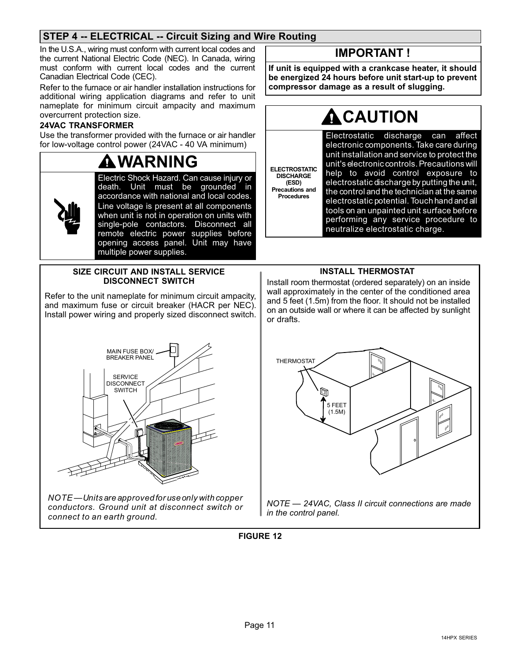## **STEP 4 -- ELECTRICAL -- Circuit Sizing and Wire Routing**

In the U.S.A., wiring must conform with current local codes and the current National Electric Code (NEC). In Canada, wiring must conform with current local codes and the current Canadian Electrical Code (CEC).

Refer to the furnace or air handler installation instructions for additional wiring application diagrams and refer to unit nameplate for minimum circuit ampacity and maximum overcurrent protection size.

### **24VAC TRANSFORMER**

Use the transformer provided with the furnace or air handler for low‐voltage control power (24VAC - 40 VA minimum)

### **WARNING** Electric Shock Hazard. Can cause injury or death. Unit must be grounded in accordance with national and local codes. Line voltage is present at all components when unit is not in operation on units with single‐pole contactors. Disconnect all remote electric power supplies before opening access panel. Unit may have multiple power supplies.

### **SIZE CIRCUIT AND INSTALL SERVICE DISCONNECT SWITCH**

Refer to the unit nameplate for minimum circuit ampacity, and maximum fuse or circuit breaker (HACR per NEC). Install power wiring and properly sized disconnect switch.



*NOTE — Units are approved for use only with copper conductors. Ground unit at disconnect switch or connect to an earth ground.*

## **IMPORTANT !**

**If unit is equipped with a crankcase heater, it should be energized 24 hours before unit start-up to prevent compressor damage as a result of slugging.**

# **CAUTION**

**ELECTROSTATIC DISCHARGE Precautions and Procedures** Electrostatic discharge can affect electronic components. Take care during unit installation and service to protect the unit's electronic controls. Precautions will help to avoid control exposure to electrostatic discharge by putting the unit, the control and the technician at the same electrostatic potential. Touch hand and all tools on an unpainted unit surface before performing any service procedure to neutralize electrostatic charge.

**(ESD)**

### **INSTALL THERMOSTAT**

Install room thermostat (ordered separately) on an inside wall approximately in the center of the conditioned area and 5 feet (1.5m) from the floor. It should not be installed on an outside wall or where it can be affected by sunlight or drafts.



*NOTE — 24VAC, Class II circuit connections are made in the control panel.*

**FIGURE 12**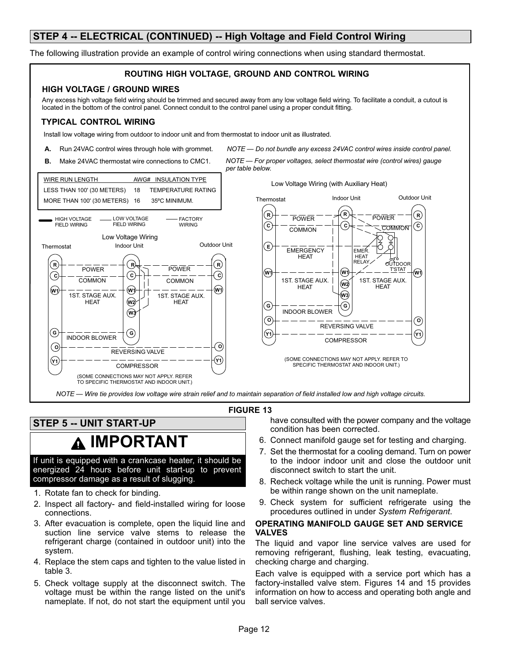### **STEP 4 -- ELECTRICAL (CONTINUED) -- High Voltage and Field Control Wiring**

The following illustration provide an example of control wiring connections when using standard thermostat.

#### **ROUTING HIGH VOLTAGE, GROUND AND CONTROL WIRING HIGH VOLTAGE / GROUND WIRES** Any excess high voltage field wiring should be trimmed and secured away from any low voltage field wiring. To facilitate a conduit, a cutout is located in the bottom of the control panel. Connect conduit to the control panel using a proper conduit fitting. **TYPICAL CONTROL WIRING** Install low voltage wiring from outdoor to indoor unit and from thermostat to indoor unit as illustrated. *NOTE — Do not bundle any excess 24VAC control wires inside control panel.* **A.** Run 24VAC control wires through hole with grommet. **B.** Make 24VAC thermostat wire connections to CMC1. *NOTE — For proper voltages, select thermostat wire (control wires) gauge per table below*. WIRE RUN LENGTH AWG# INSULATION TYPE Low Voltage Wiring (with Auxiliary Heat) LESS THAN 100' (30 METERS) 18 TEMPERATURE RATING Thermostat **Indoor Unit** Dutdoor Unit MORE THAN 100' (30 METERS) 16 35ºC MINIMUM. **R R R** POWER HIGH VOLTAGE LOW VOLTAGE **FACTORY** POWER FIELD WIRING FIELD WIRING **WIRING C C C COMMON COMMON** Low Voltage Wiring े<br>इ Outdoor Unit Thermostat Indoor Unit 3 **E** EMERGENCY EMER. **HEAT** HEAT **R OUTDOOR R R** POWER POWER T'STAT **W1 W1 W1 C C C** COMMON 1ST. STAGE AUX. 1ST. STAGE AUX. **COMMON W2 HEAT HEAT W1 W1 W1** 1ST. STAGE AUX. 1ST. STAGE AUX. **W3 HFAT W2 HEAT G G** INDOOR BLOWER **W3 O O** REVERSING VALVE **G Y1 Y1 G** INDOOR BLOWER **COMPRESSOR O O** REVERSING VALVE **Y1** (SOME CONNECTIONS MAY NOT APPLY. REFER TO **Y1 COMPRESSOR** SPECIFIC THERMOSTAT AND INDOOR UNIT.) (SOME CONNECTIONS MAY NOT APPLY. REFER TO SPECIFIC THERMOSTAT AND INDOOR UNIT.) *NOTE — Wire tie provides low voltage wire strain relief and to maintain separation of field installed low and high voltage circuits.*

#### **FIGURE 13**

**STEP 5 -- UNIT START-UP**

**IMPORTANT**

If unit is equipped with a crankcase heater, it should be energized 24 hours before unit start-up to prevent compressor damage as a result of slugging.

- 1. Rotate fan to check for binding.
- 2. Inspect all factory- and field-installed wiring for loose connections.
- 3. After evacuation is complete, open the liquid line and suction line service valve stems to release the refrigerant charge (contained in outdoor unit) into the system.
- 4. Replace the stem caps and tighten to the value listed in table [3.](#page-12-0)
- 5. Check voltage supply at the disconnect switch. The voltage must be within the range listed on the unit's nameplate. If not, do not start the equipment until you

have consulted with the power company and the voltage condition has been corrected.

- 6. Connect manifold gauge set for testing and charging.
- 7. Set the thermostat for a cooling demand. Turn on power to the indoor indoor unit and close the outdoor unit disconnect switch to start the unit.
- 8. Recheck voltage while the unit is running. Power must be within range shown on the unit nameplate.
- 9. Check system for sufficient refrigerate using the procedures outlined in under *System Refrigerant*.

### **OPERATING MANIFOLD GAUGE SET AND SERVICE VALVES**

The liquid and vapor line service valves are used for removing refrigerant, flushing, leak testing, evacuating, checking charge and charging.

Each valve is equipped with a service port which has a factory-installed valve stem. Figures [14](#page-12-0) and [15](#page-12-0) provides information on how to access and operating both angle and ball service valves.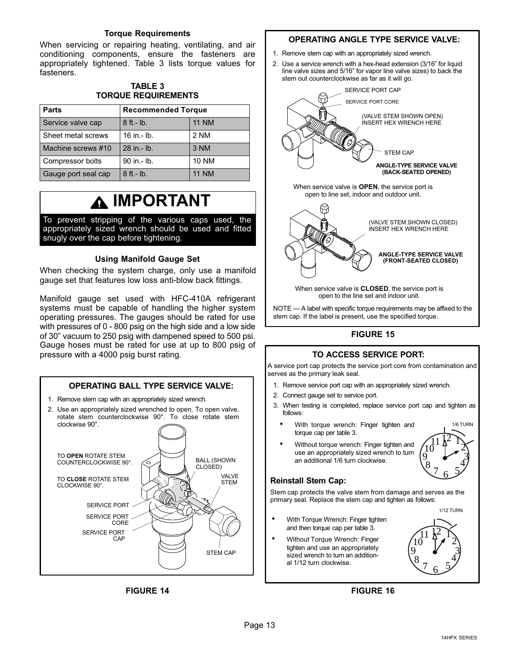### **Torque Requirements**

<span id="page-12-0"></span>When servicing or repairing heating, ventilating, and air conditioning components, ensure the fasteners are appropriately tightened. Table 3 lists torque values for fasteners.

### **TABLE 3 TORQUE REQUIREMENTS**

| <b>Parts</b>        | <b>Recommended Torque</b> |              |  |
|---------------------|---------------------------|--------------|--|
| Service valve cap   | $8$ ft. - lb.             | <b>11 NM</b> |  |
| Sheet metal screws  | $16$ in $-$ lb.           | 2 NM         |  |
| Machine screws #10  | 28 in .- lb.              | 3 NM         |  |
| Compressor bolts    | 90 in .- lb.              | <b>10 NM</b> |  |
| Gauge port seal cap | $8$ ft. - $lb.$           | <b>11 NM</b> |  |

# **IMPORTANT**

To prevent stripping of the various caps used, the appropriately sized wrench should be used and fitted snugly over the cap before tightening.

### **Using Manifold Gauge Set**

When checking the system charge, only use a manifold gauge set that features low loss anti-blow back fittings.

Manifold gauge set used with HFC-410A refrigerant systems must be capable of handling the higher system operating pressures. The gauges should be rated for use with pressures of 0 - 800 psig on the high side and a low side of 30" vacuum to 250 psig with dampened speed to 500 psi. Gauge hoses must be rated for use at up to 800 psig of pressure with a 4000 psig burst rating.



### **FIGURE 14**

### **OPERATING ANGLE TYPE SERVICE VALVE:**

- 1. Remove stem cap with an appropriately sized wrench.
- 2. Use a service wrench with a hex-head extension (3/16" for liquid line valve sizes and 5/16" for vapor line valve sizes) to back the stem out counterclockwise as far as it will go.





When service valve is **CLOSED**, the service port is open to the line set and indoor unit.

NOTE — A label with specific torque requirements may be affixed to the stem cap. If the label is present, use the specified torque.

### **FIGURE 15**

### **TO ACCESS SERVICE PORT:**

A service port cap protects the service port core from contamination and serves as the primary leak seal.

- 1. Remove service port cap with an appropriately sized wrench.
- 2. Connect gauge set to service port.
- 3. When testing is completed, replace service port cap and tighten as follows:
	- With torque wrench: Finger tighten and torque cap per table 3.



 Without torque wrench: Finger tighten and use an appropriately sized wrench to turn an additional 1/6 turn clockwise.

### **Reinstall Stem Cap:**

Stem cap protects the valve stem from damage and serves as the primary seal. Replace the stem cap and tighten as follows:

- With Torque Wrench: Finger tighten and then torque cap per table 3.
- Without Torque Wrench: Finger tighten and use an appropriately sized wrench to turn an additional 1/12 turn clockwise.

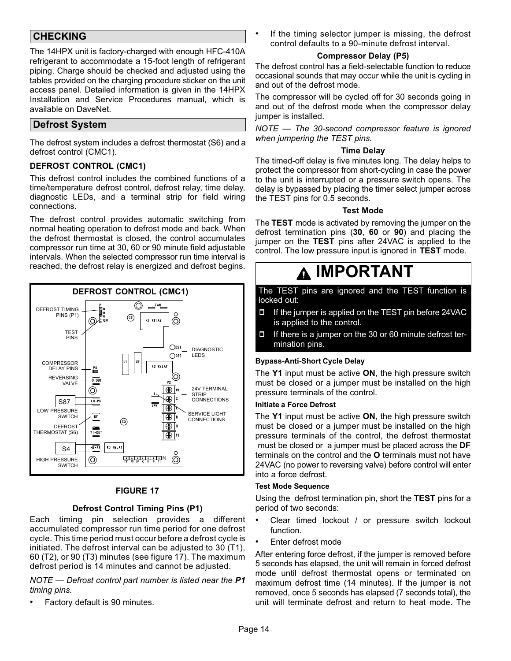## **CHECKING**

The 14HPX unit is factory-charged with enough HFC-410A refrigerant to accommodate a 15-foot length of refrigerant piping. Charge should be checked and adjusted using the tables provided on the charging procedure sticker on the unit access panel. Detailed information is given in the 14HPX Installation and Service Procedures manual, which is available on DaveNet.

## **Defrost System**

The defrost system includes a defrost thermostat (S6) and a defrost control (CMC1).

### **DEFROST CONTROL (CMC1)**

This defrost control includes the combined functions of a time/temperature defrost control, defrost relay, time delay, diagnostic LEDs, and a terminal strip for field wiring connections.

The defrost control provides automatic switching from normal heating operation to defrost mode and back. When the defrost thermostat is closed, the control accumulates compressor run time at 30, 60 or 90 minute field adjustable intervals. When the selected compressor run time interval is reached, the defrost relay is energized and defrost begins.



### **FIGURE 17**

### **Defrost Control Timing Pins (P1)**

Each timing pin selection provides a different accumulated compressor run time period for one defrost cycle. This time period must occur before a defrost cycle is initiated. The defrost interval can be adjusted to 30 (T1), 60 (T2), or 90 (T3) minutes (see figure 17). The maximum defrost period is 14 minutes and cannot be adjusted.

*NOTE — Defrost control part number is listed near the P1 timing pins.*

Factory default is 90 minutes.

 If the timing selector jumper is missing, the defrost control defaults to a 90-minute defrost interval.

### **Compressor Delay (P5)**

The defrost control has a field-selectable function to reduce occasional sounds that may occur while the unit is cycling in and out of the defrost mode.

The compressor will be cycled off for 30 seconds going in and out of the defrost mode when the compressor delay jumper is installed.

*NOTE — The 30‐second compressor feature is ignored when jumpering the TEST pins.*

### **Time Delay**

The timed‐off delay is five minutes long. The delay helps to protect the compressor from short‐cycling in case the power to the unit is interrupted or a pressure switch opens. The delay is bypassed by placing the timer select jumper across the TEST pins for 0.5 seconds.

### **Test Mode**

The **TEST** mode is activated by removing the jumper on the defrost termination pins (**30**, **60** or **90**) and placing the jumper on the **TEST** pins after 24VAC is applied to the control. The low pressure input is ignored in **TEST** mode.

# **IMPORTANT**

The TEST pins are ignored and the TEST function is locked out:

- If the jumper is applied on the TEST pin before 24VAC is applied to the control.
- If there is a jumper on the 30 or 60 minute defrost termination pins.

### **Bypass-Anti-Short Cycle Delay**

The **Y1** input must be active **ON**, the high pressure switch must be closed or a jumper must be installed on the high pressure terminals of the control.

### **Initiate a Force Defrost**

The **Y1** input must be active **ON**, the high pressure switch must be closed or a jumper must be installed on the high pressure terminals of the control, the defrost thermostat must be closed or a jumper must be placed across the **DF** terminals on the control and the **O** terminals must not have 24VAC (no power to reversing valve) before control will enter into a force defrost.

### **Test Mode Sequence**

Using the defrost termination pin, short the **TEST** pins for a period of two seconds:

- Clear timed lockout / or pressure switch lockout function.
- Enter defrost mode

After entering force defrost, if the jumper is removed before 5 seconds has elapsed, the unit will remain in forced defrost mode until defrost thermostat opens or terminated on maximum defrost time (14 minutes). If the jumper is not removed, once 5 seconds has elapsed (7 seconds total), the unit will terminate defrost and return to heat mode. The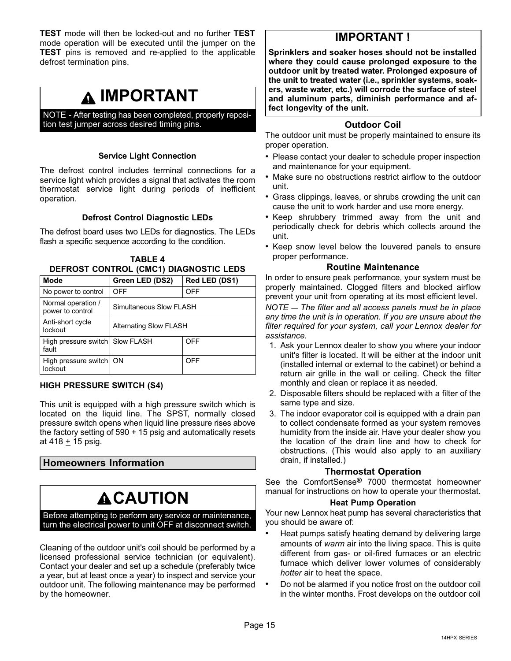**TEST** mode will then be locked-out and no further **TEST** mode operation will be executed until the jumper on the **TEST** pins is removed and re-applied to the applicable defrost termination pins.

## **IMPORTANT**

NOTE - After testing has been completed, properly reposition test jumper across desired timing pins.

### **Service Light Connection**

The defrost control includes terminal connections for a service light which provides a signal that activates the room thermostat service light during periods of inefficient operation.

### **Defrost Control Diagnostic LEDs**

The defrost board uses two LEDs for diagnostics. The LEDs flash a specific sequence according to the condition.

| <b>TABLE 4</b>                         |  |
|----------------------------------------|--|
| DEFROST CONTROL (CMC1) DIAGNOSTIC LEDS |  |

| <b>Mode</b>                              | Green LED (DS2)<br>Red LED (DS1) |            |  |  |  |
|------------------------------------------|----------------------------------|------------|--|--|--|
| No power to control                      | OFF<br>OFF                       |            |  |  |  |
| Normal operation /<br>power to control   | Simultaneous Slow FLASH          |            |  |  |  |
| Anti-short cycle<br>lockout              | <b>Alternating Slow FLASH</b>    |            |  |  |  |
| High pressure switch Slow FLASH<br>fault | <b>OFF</b>                       |            |  |  |  |
| High pressure switch   ON<br>lockout     |                                  | <b>OFF</b> |  |  |  |

### **HIGH PRESSURE SWITCH (S4)**

This unit is equipped with a high pressure switch which is located on the liquid line. The SPST, normally closed pressure switch opens when liquid line pressure rises above the factory setting of 590  $\pm$  15 psig and automatically resets at 418 + 15 psig.

### **Homeowners Information**

# **CAUTION**

Before attempting to perform any service or maintenance, turn the electrical power to unit OFF at disconnect switch.

Cleaning of the outdoor unit's coil should be performed by a licensed professional service technician (or equivalent). Contact your dealer and set up a schedule (preferably twice a year, but at least once a year) to inspect and service your outdoor unit. The following maintenance may be performed by the homeowner.

## **IMPORTANT !**

**Sprinklers and soaker hoses should not be installed where they could cause prolonged exposure to the outdoor unit by treated water. Prolonged exposure of the unit to treated water (i.e., sprinkler systems, soakers, waste water, etc.) will corrode the surface of steel and aluminum parts, diminish performance and affect longevity of the unit.**

### **Outdoor Coil**

The outdoor unit must be properly maintained to ensure its proper operation.

- Please contact your dealer to schedule proper inspection and maintenance for your equipment.
- Make sure no obstructions restrict airflow to the outdoor unit.
- Grass clippings, leaves, or shrubs crowding the unit can cause the unit to work harder and use more energy.
- Keep shrubbery trimmed away from the unit and periodically check for debris which collects around the unit.
- Keep snow level below the louvered panels to ensure proper performance.

### **Routine Maintenance**

In order to ensure peak performance, your system must be properly maintained. Clogged filters and blocked airflow prevent your unit from operating at its most efficient level.

*NOTE — The filter and all access panels must be in place any time the unit is in operation. If you are unsure about the filter required for your system, call your Lennox dealer for assistance.*

- 1. Ask your Lennox dealer to show you where your indoor unit's filter is located. It will be either at the indoor unit (installed internal or external to the cabinet) or behind a return air grille in the wall or ceiling. Check the filter monthly and clean or replace it as needed.
- 2. Disposable filters should be replaced with a filter of the same type and size.
- 3. The indoor evaporator coil is equipped with a drain pan to collect condensate formed as your system removes humidity from the inside air. Have your dealer show you the location of the drain line and how to check for obstructions. (This would also apply to an auxiliary drain, if installed.)

### **Thermostat Operation**

See the ComfortSense**®** 7000 thermostat homeowner manual for instructions on how to operate your thermostat.

### **Heat Pump Operation**

Your new Lennox heat pump has several characteristics that you should be aware of:

- Heat pumps satisfy heating demand by delivering large amounts of *warm* air into the living space. This is quite different from gas‐ or oil‐fired furnaces or an electric furnace which deliver lower volumes of considerably *hotter* air to heat the space.
- Do not be alarmed if you notice frost on the outdoor coil in the winter months. Frost develops on the outdoor coil